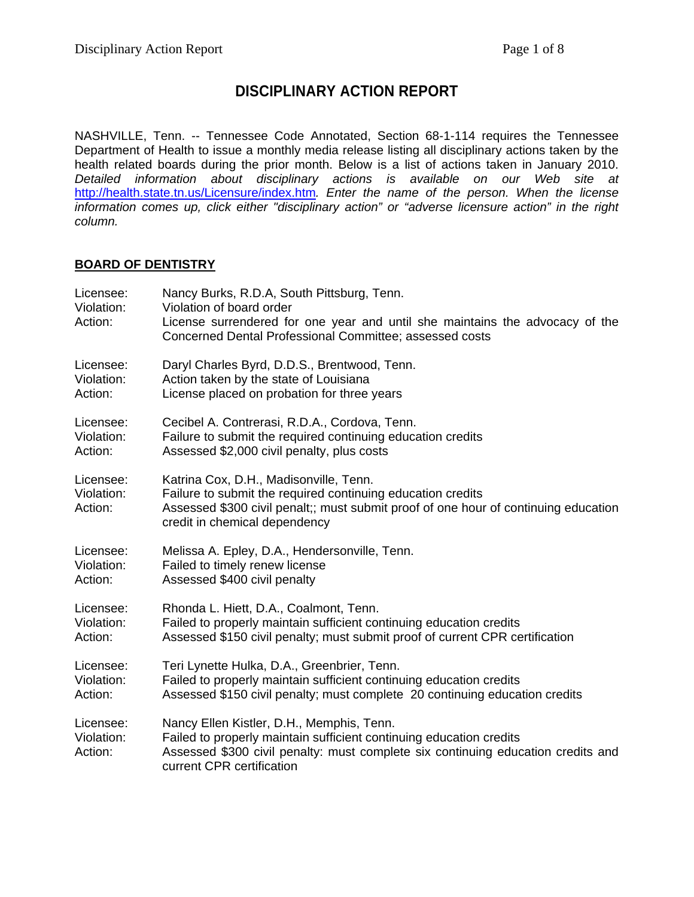# **DISCIPLINARY ACTION REPORT**

NASHVILLE, Tenn. -- Tennessee Code Annotated, Section 68-1-114 requires the Tennessee Department of Health to issue a monthly media release listing all disciplinary actions taken by the health related boards during the prior month. Below is a list of actions taken in January 2010. *Detailed information about disciplinary actions is available on our Web site at*  <http://health.state.tn.us/Licensure/index.htm>*. Enter the name of the person. When the license information comes up, click either "disciplinary action" or "adverse licensure action" in the right column.* 

#### **BOARD OF DENTISTRY**

| Licensee:<br>Violation:<br>Action: | Nancy Burks, R.D.A, South Pittsburg, Tenn.<br>Violation of board order<br>License surrendered for one year and until she maintains the advocacy of the<br>Concerned Dental Professional Committee; assessed costs                 |
|------------------------------------|-----------------------------------------------------------------------------------------------------------------------------------------------------------------------------------------------------------------------------------|
| Licensee:                          | Daryl Charles Byrd, D.D.S., Brentwood, Tenn.                                                                                                                                                                                      |
| Violation:                         | Action taken by the state of Louisiana                                                                                                                                                                                            |
| Action:                            | License placed on probation for three years                                                                                                                                                                                       |
| Licensee:                          | Cecibel A. Contrerasi, R.D.A., Cordova, Tenn.                                                                                                                                                                                     |
| Violation:                         | Failure to submit the required continuing education credits                                                                                                                                                                       |
| Action:                            | Assessed \$2,000 civil penalty, plus costs                                                                                                                                                                                        |
| Licensee:<br>Violation:<br>Action: | Katrina Cox, D.H., Madisonville, Tenn.<br>Failure to submit the required continuing education credits<br>Assessed \$300 civil penalt;; must submit proof of one hour of continuing education<br>credit in chemical dependency     |
| Licensee:                          | Melissa A. Epley, D.A., Hendersonville, Tenn.                                                                                                                                                                                     |
| Violation:                         | Failed to timely renew license                                                                                                                                                                                                    |
| Action:                            | Assessed \$400 civil penalty                                                                                                                                                                                                      |
| Licensee:                          | Rhonda L. Hiett, D.A., Coalmont, Tenn.                                                                                                                                                                                            |
| Violation:                         | Failed to properly maintain sufficient continuing education credits                                                                                                                                                               |
| Action:                            | Assessed \$150 civil penalty; must submit proof of current CPR certification                                                                                                                                                      |
| Licensee:                          | Teri Lynette Hulka, D.A., Greenbrier, Tenn.                                                                                                                                                                                       |
| Violation:                         | Failed to properly maintain sufficient continuing education credits                                                                                                                                                               |
| Action:                            | Assessed \$150 civil penalty; must complete 20 continuing education credits                                                                                                                                                       |
| Licensee:<br>Violation:<br>Action: | Nancy Ellen Kistler, D.H., Memphis, Tenn.<br>Failed to properly maintain sufficient continuing education credits<br>Assessed \$300 civil penalty: must complete six continuing education credits and<br>current CPR certification |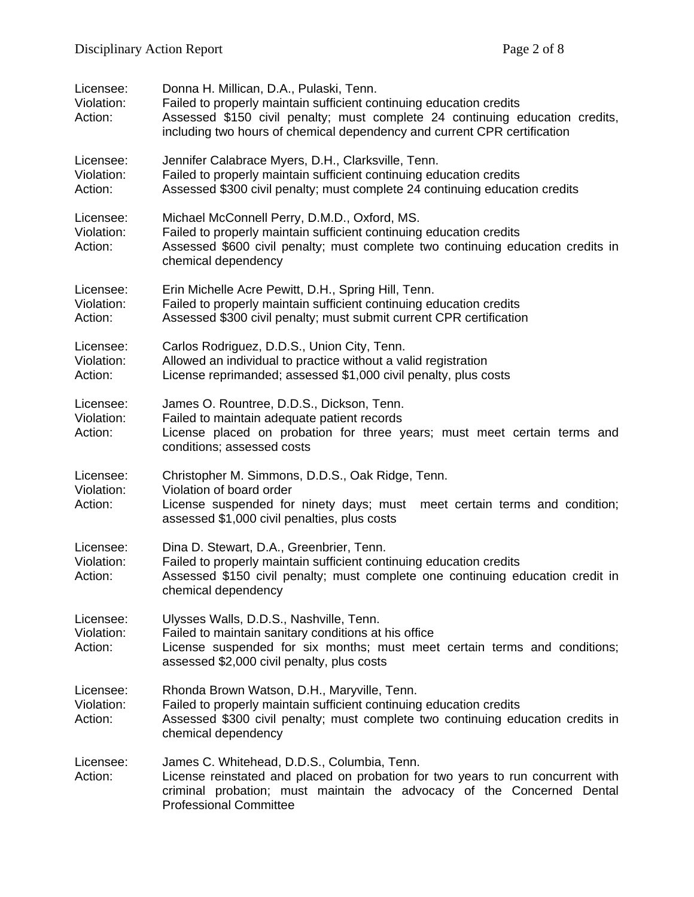| Licensee:<br>Violation:<br>Action: | Donna H. Millican, D.A., Pulaski, Tenn.<br>Failed to properly maintain sufficient continuing education credits<br>Assessed \$150 civil penalty; must complete 24 continuing education credits,<br>including two hours of chemical dependency and current CPR certification |
|------------------------------------|----------------------------------------------------------------------------------------------------------------------------------------------------------------------------------------------------------------------------------------------------------------------------|
| Licensee:<br>Violation:<br>Action: | Jennifer Calabrace Myers, D.H., Clarksville, Tenn.<br>Failed to properly maintain sufficient continuing education credits<br>Assessed \$300 civil penalty; must complete 24 continuing education credits                                                                   |
| Licensee:<br>Violation:<br>Action: | Michael McConnell Perry, D.M.D., Oxford, MS.<br>Failed to properly maintain sufficient continuing education credits<br>Assessed \$600 civil penalty; must complete two continuing education credits in<br>chemical dependency                                              |
| Licensee:<br>Violation:<br>Action: | Erin Michelle Acre Pewitt, D.H., Spring Hill, Tenn.<br>Failed to properly maintain sufficient continuing education credits<br>Assessed \$300 civil penalty; must submit current CPR certification                                                                          |
| Licensee:<br>Violation:<br>Action: | Carlos Rodriguez, D.D.S., Union City, Tenn.<br>Allowed an individual to practice without a valid registration<br>License reprimanded; assessed \$1,000 civil penalty, plus costs                                                                                           |
| Licensee:<br>Violation:<br>Action: | James O. Rountree, D.D.S., Dickson, Tenn.<br>Failed to maintain adequate patient records<br>License placed on probation for three years; must meet certain terms and<br>conditions; assessed costs                                                                         |
| Licensee:<br>Violation:<br>Action: | Christopher M. Simmons, D.D.S., Oak Ridge, Tenn.<br>Violation of board order<br>License suspended for ninety days; must meet certain terms and condition;<br>assessed \$1,000 civil penalties, plus costs                                                                  |
| Licensee:<br>Violation:<br>Action: | Dina D. Stewart, D.A., Greenbrier, Tenn.<br>Failed to properly maintain sufficient continuing education credits<br>Assessed \$150 civil penalty; must complete one continuing education credit in<br>chemical dependency                                                   |
| Licensee:<br>Violation:<br>Action: | Ulysses Walls, D.D.S., Nashville, Tenn.<br>Failed to maintain sanitary conditions at his office<br>License suspended for six months; must meet certain terms and conditions;<br>assessed \$2,000 civil penalty, plus costs                                                 |
| Licensee:<br>Violation:<br>Action: | Rhonda Brown Watson, D.H., Maryville, Tenn.<br>Failed to properly maintain sufficient continuing education credits<br>Assessed \$300 civil penalty; must complete two continuing education credits in<br>chemical dependency                                               |
| Licensee:<br>Action:               | James C. Whitehead, D.D.S., Columbia, Tenn.<br>License reinstated and placed on probation for two years to run concurrent with<br>criminal probation; must maintain the advocacy of the Concerned Dental<br><b>Professional Committee</b>                                  |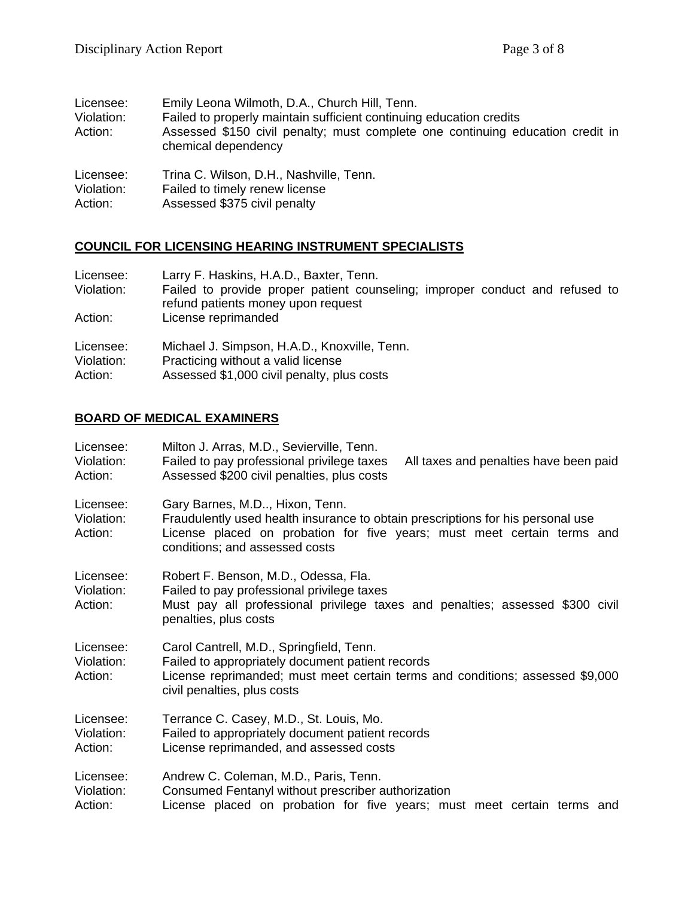| Licensee:<br>Violation:<br>Action: | Emily Leona Wilmoth, D.A., Church Hill, Tenn.<br>Failed to properly maintain sufficient continuing education credits<br>Assessed \$150 civil penalty; must complete one continuing education credit in<br>chemical dependency |
|------------------------------------|-------------------------------------------------------------------------------------------------------------------------------------------------------------------------------------------------------------------------------|
| Licensee:                          | Trina C. Wilson, D.H., Nashville, Tenn.                                                                                                                                                                                       |
| Violation:                         | Failed to timely renew license                                                                                                                                                                                                |
| Action:                            | Assessed \$375 civil penalty                                                                                                                                                                                                  |

# **COUNCIL FOR LICENSING HEARING INSTRUMENT SPECIALISTS**

| Licensee:<br>Violation:            | Larry F. Haskins, H.A.D., Baxter, Tenn.<br>Failed to provide proper patient counseling; improper conduct and refused to<br>refund patients money upon request |
|------------------------------------|---------------------------------------------------------------------------------------------------------------------------------------------------------------|
| Action:                            | License reprimanded                                                                                                                                           |
| Licensee:<br>Violation:<br>Action: | Michael J. Simpson, H.A.D., Knoxville, Tenn.<br>Practicing without a valid license<br>Assessed \$1,000 civil penalty, plus costs                              |

### **BOARD OF MEDICAL EXAMINERS**

| Licensee:<br>Violation:<br>Action: | Milton J. Arras, M.D., Sevierville, Tenn.<br>Failed to pay professional privilege taxes<br>All taxes and penalties have been paid<br>Assessed \$200 civil penalties, plus costs                                                |  |
|------------------------------------|--------------------------------------------------------------------------------------------------------------------------------------------------------------------------------------------------------------------------------|--|
| Licensee:<br>Violation:<br>Action: | Gary Barnes, M.D, Hixon, Tenn.<br>Fraudulently used health insurance to obtain prescriptions for his personal use<br>License placed on probation for five years; must meet certain terms and<br>conditions; and assessed costs |  |
| Licensee:<br>Violation:<br>Action: | Robert F. Benson, M.D., Odessa, Fla.<br>Failed to pay professional privilege taxes<br>Must pay all professional privilege taxes and penalties; assessed \$300 civil<br>penalties, plus costs                                   |  |
| Licensee:<br>Violation:<br>Action: | Carol Cantrell, M.D., Springfield, Tenn.<br>Failed to appropriately document patient records<br>License reprimanded; must meet certain terms and conditions; assessed \$9,000<br>civil penalties, plus costs                   |  |
| Licensee:<br>Violation:<br>Action: | Terrance C. Casey, M.D., St. Louis, Mo.<br>Failed to appropriately document patient records<br>License reprimanded, and assessed costs                                                                                         |  |
| Licensee:<br>Violation:<br>Action: | Andrew C. Coleman, M.D., Paris, Tenn.<br>Consumed Fentanyl without prescriber authorization<br>License placed on probation for five years; must meet certain terms and                                                         |  |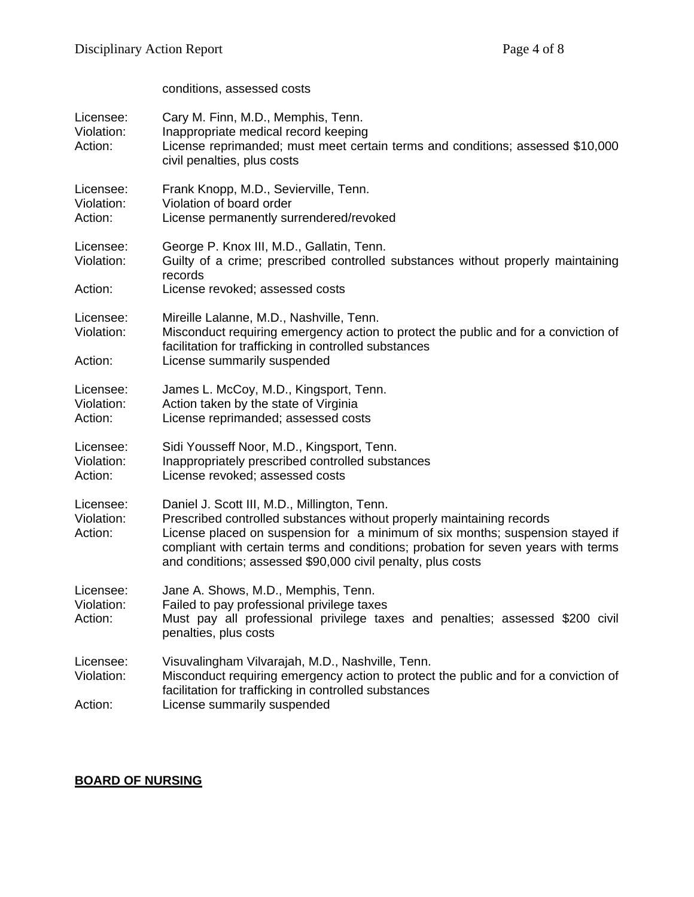conditions, assessed costs

| Licensee:<br>Violation:<br>Action: | Cary M. Finn, M.D., Memphis, Tenn.<br>Inappropriate medical record keeping<br>License reprimanded; must meet certain terms and conditions; assessed \$10,000<br>civil penalties, plus costs                                                                                                                                                                 |
|------------------------------------|-------------------------------------------------------------------------------------------------------------------------------------------------------------------------------------------------------------------------------------------------------------------------------------------------------------------------------------------------------------|
| Licensee:<br>Violation:<br>Action: | Frank Knopp, M.D., Sevierville, Tenn.<br>Violation of board order<br>License permanently surrendered/revoked                                                                                                                                                                                                                                                |
| Licensee:<br>Violation:<br>Action: | George P. Knox III, M.D., Gallatin, Tenn.<br>Guilty of a crime; prescribed controlled substances without properly maintaining<br>records<br>License revoked; assessed costs                                                                                                                                                                                 |
| Licensee:<br>Violation:<br>Action: | Mireille Lalanne, M.D., Nashville, Tenn.<br>Misconduct requiring emergency action to protect the public and for a conviction of<br>facilitation for trafficking in controlled substances<br>License summarily suspended                                                                                                                                     |
| Licensee:<br>Violation:<br>Action: | James L. McCoy, M.D., Kingsport, Tenn.<br>Action taken by the state of Virginia<br>License reprimanded; assessed costs                                                                                                                                                                                                                                      |
| Licensee:<br>Violation:<br>Action: | Sidi Yousseff Noor, M.D., Kingsport, Tenn.<br>Inappropriately prescribed controlled substances<br>License revoked; assessed costs                                                                                                                                                                                                                           |
| Licensee:<br>Violation:<br>Action: | Daniel J. Scott III, M.D., Millington, Tenn.<br>Prescribed controlled substances without properly maintaining records<br>License placed on suspension for a minimum of six months; suspension stayed if<br>compliant with certain terms and conditions; probation for seven years with terms<br>and conditions; assessed \$90,000 civil penalty, plus costs |
| Licensee:<br>Violation:<br>Action: | Jane A. Shows, M.D., Memphis, Tenn.<br>Failed to pay professional privilege taxes<br>Must pay all professional privilege taxes and penalties; assessed \$200 civil<br>penalties, plus costs                                                                                                                                                                 |
| Licensee:<br>Violation:<br>Action: | Visuvalingham Vilvarajah, M.D., Nashville, Tenn.<br>Misconduct requiring emergency action to protect the public and for a conviction of<br>facilitation for trafficking in controlled substances<br>License summarily suspended                                                                                                                             |

# **BOARD OF NURSING**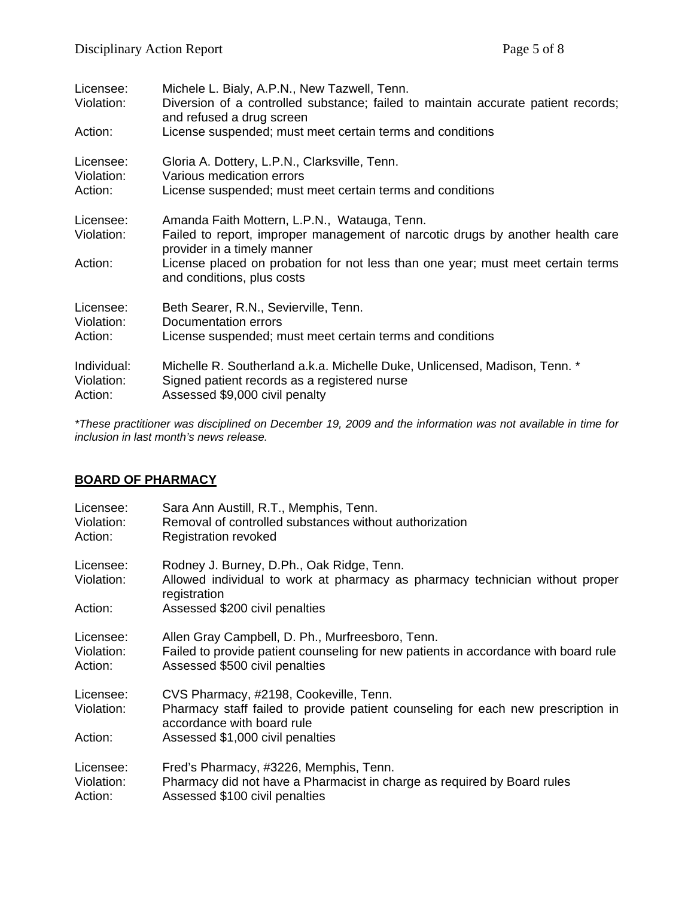| Licensee:<br>Violation:<br>Action: | Michele L. Bialy, A.P.N., New Tazwell, Tenn.<br>Diversion of a controlled substance; failed to maintain accurate patient records;<br>and refused a drug screen<br>License suspended; must meet certain terms and conditions                                                    |
|------------------------------------|--------------------------------------------------------------------------------------------------------------------------------------------------------------------------------------------------------------------------------------------------------------------------------|
| Licensee:                          | Gloria A. Dottery, L.P.N., Clarksville, Tenn.                                                                                                                                                                                                                                  |
| Violation:                         | Various medication errors                                                                                                                                                                                                                                                      |
| Action:                            | License suspended; must meet certain terms and conditions                                                                                                                                                                                                                      |
| Licensee:<br>Violation:<br>Action: | Amanda Faith Mottern, L.P.N., Watauga, Tenn.<br>Failed to report, improper management of narcotic drugs by another health care<br>provider in a timely manner<br>License placed on probation for not less than one year; must meet certain terms<br>and conditions, plus costs |
| Licensee:                          | Beth Searer, R.N., Sevierville, Tenn.                                                                                                                                                                                                                                          |
| Violation:                         | Documentation errors                                                                                                                                                                                                                                                           |
| Action:                            | License suspended; must meet certain terms and conditions                                                                                                                                                                                                                      |
| Individual:                        | Michelle R. Southerland a.k.a. Michelle Duke, Unlicensed, Madison, Tenn. *                                                                                                                                                                                                     |
| Violation:                         | Signed patient records as a registered nurse                                                                                                                                                                                                                                   |
| Action:                            | Assessed \$9,000 civil penalty                                                                                                                                                                                                                                                 |

*\*These practitioner was disciplined on December 19, 2009 and the information was not available in time for inclusion in last month's news release.* 

#### **BOARD OF PHARMACY**

| Licensee:                          | Sara Ann Austill, R.T., Memphis, Tenn.                                                                                                                                                       |
|------------------------------------|----------------------------------------------------------------------------------------------------------------------------------------------------------------------------------------------|
| Violation:                         | Removal of controlled substances without authorization                                                                                                                                       |
| Action:                            | <b>Registration revoked</b>                                                                                                                                                                  |
| Licensee:<br>Violation:<br>Action: | Rodney J. Burney, D.Ph., Oak Ridge, Tenn.<br>Allowed individual to work at pharmacy as pharmacy technician without proper<br>registration<br>Assessed \$200 civil penalties                  |
| Licensee:                          | Allen Gray Campbell, D. Ph., Murfreesboro, Tenn.                                                                                                                                             |
| Violation:                         | Failed to provide patient counseling for new patients in accordance with board rule                                                                                                          |
| Action:                            | Assessed \$500 civil penalties                                                                                                                                                               |
| Licensee:<br>Violation:<br>Action: | CVS Pharmacy, #2198, Cookeville, Tenn.<br>Pharmacy staff failed to provide patient counseling for each new prescription in<br>accordance with board rule<br>Assessed \$1,000 civil penalties |
| Licensee:                          | Fred's Pharmacy, #3226, Memphis, Tenn.                                                                                                                                                       |
| Violation:                         | Pharmacy did not have a Pharmacist in charge as required by Board rules                                                                                                                      |
| Action:                            | Assessed \$100 civil penalties                                                                                                                                                               |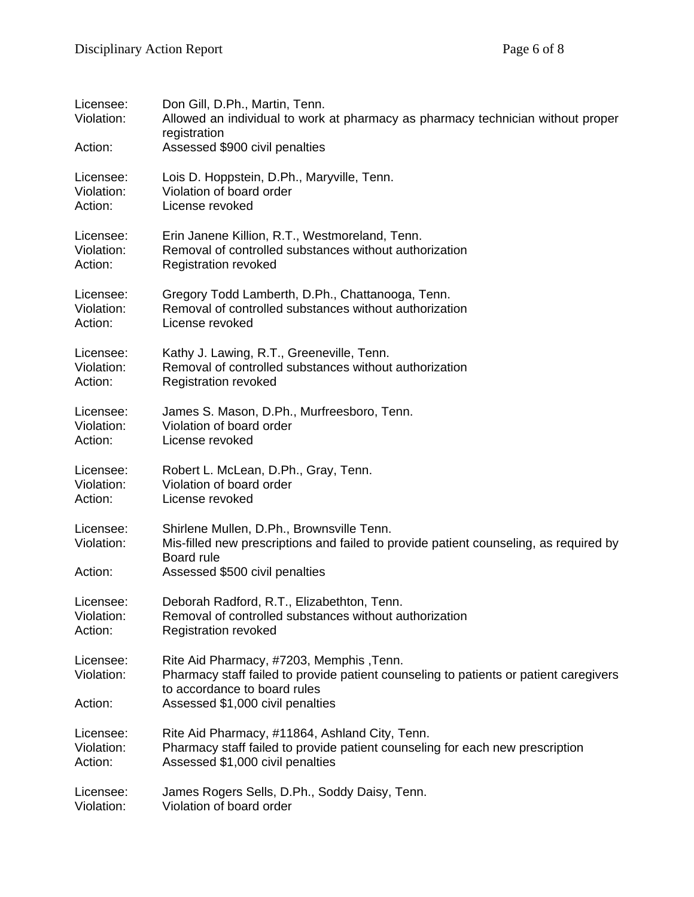| Licensee:<br>Violation:<br>Action: | Don Gill, D.Ph., Martin, Tenn.<br>Allowed an individual to work at pharmacy as pharmacy technician without proper<br>registration<br>Assessed \$900 civil penalties                       |
|------------------------------------|-------------------------------------------------------------------------------------------------------------------------------------------------------------------------------------------|
| Licensee:                          | Lois D. Hoppstein, D.Ph., Maryville, Tenn.                                                                                                                                                |
| Violation:                         | Violation of board order                                                                                                                                                                  |
| Action:                            | License revoked                                                                                                                                                                           |
| Licensee:                          | Erin Janene Killion, R.T., Westmoreland, Tenn.                                                                                                                                            |
| Violation:                         | Removal of controlled substances without authorization                                                                                                                                    |
| Action:                            | <b>Registration revoked</b>                                                                                                                                                               |
| Licensee:                          | Gregory Todd Lamberth, D.Ph., Chattanooga, Tenn.                                                                                                                                          |
| Violation:                         | Removal of controlled substances without authorization                                                                                                                                    |
| Action:                            | License revoked                                                                                                                                                                           |
| Licensee:                          | Kathy J. Lawing, R.T., Greeneville, Tenn.                                                                                                                                                 |
| Violation:                         | Removal of controlled substances without authorization                                                                                                                                    |
| Action:                            | <b>Registration revoked</b>                                                                                                                                                               |
| Licensee:                          | James S. Mason, D.Ph., Murfreesboro, Tenn.                                                                                                                                                |
| Violation:                         | Violation of board order                                                                                                                                                                  |
| Action:                            | License revoked                                                                                                                                                                           |
| Licensee:                          | Robert L. McLean, D.Ph., Gray, Tenn.                                                                                                                                                      |
| Violation:                         | Violation of board order                                                                                                                                                                  |
| Action:                            | License revoked                                                                                                                                                                           |
| Licensee:<br>Violation:<br>Action: | Shirlene Mullen, D.Ph., Brownsville Tenn.<br>Mis-filled new prescriptions and failed to provide patient counseling, as required by<br><b>Board</b> rule<br>Assessed \$500 civil penalties |
| Licensee:                          | Deborah Radford, R.T., Elizabethton, Tenn.                                                                                                                                                |
| Violation:                         | Removal of controlled substances without authorization                                                                                                                                    |
| Action:                            | <b>Registration revoked</b>                                                                                                                                                               |
| Licensee:<br>Violation:            | Rite Aid Pharmacy, #7203, Memphis, Tenn.<br>Pharmacy staff failed to provide patient counseling to patients or patient caregivers<br>to accordance to board rules                         |
| Action:                            | Assessed \$1,000 civil penalties                                                                                                                                                          |
| Licensee:                          | Rite Aid Pharmacy, #11864, Ashland City, Tenn.                                                                                                                                            |
| Violation:                         | Pharmacy staff failed to provide patient counseling for each new prescription                                                                                                             |
| Action:                            | Assessed \$1,000 civil penalties                                                                                                                                                          |
| Licensee:                          | James Rogers Sells, D.Ph., Soddy Daisy, Tenn.                                                                                                                                             |
| Violation:                         | Violation of board order                                                                                                                                                                  |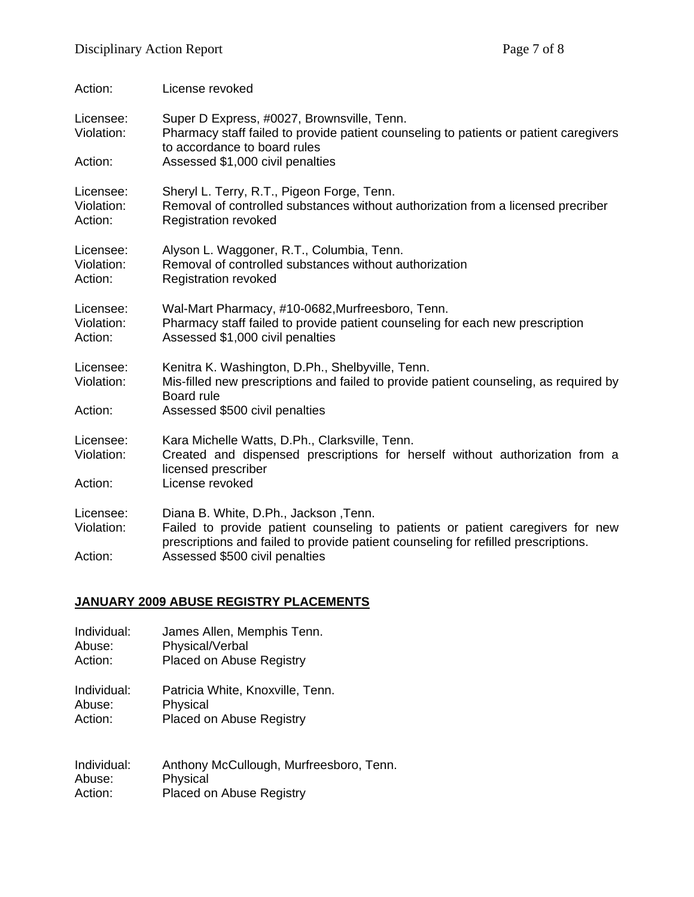| Action:                            | License revoked                                                                                                                                                                                                                                 |
|------------------------------------|-------------------------------------------------------------------------------------------------------------------------------------------------------------------------------------------------------------------------------------------------|
| Licensee:<br>Violation:            | Super D Express, #0027, Brownsville, Tenn.<br>Pharmacy staff failed to provide patient counseling to patients or patient caregivers<br>to accordance to board rules                                                                             |
| Action:                            | Assessed \$1,000 civil penalties                                                                                                                                                                                                                |
| Licensee:<br>Violation:<br>Action: | Sheryl L. Terry, R.T., Pigeon Forge, Tenn.<br>Removal of controlled substances without authorization from a licensed precriber<br><b>Registration revoked</b>                                                                                   |
| Licensee:<br>Violation:<br>Action: | Alyson L. Waggoner, R.T., Columbia, Tenn.<br>Removal of controlled substances without authorization<br><b>Registration revoked</b>                                                                                                              |
| Licensee:<br>Violation:<br>Action: | Wal-Mart Pharmacy, #10-0682, Murfreesboro, Tenn.<br>Pharmacy staff failed to provide patient counseling for each new prescription<br>Assessed \$1,000 civil penalties                                                                           |
| Licensee:<br>Violation:            | Kenitra K. Washington, D.Ph., Shelbyville, Tenn.<br>Mis-filled new prescriptions and failed to provide patient counseling, as required by<br>Board rule                                                                                         |
| Action:                            | Assessed \$500 civil penalties                                                                                                                                                                                                                  |
| Licensee:<br>Violation:            | Kara Michelle Watts, D.Ph., Clarksville, Tenn.<br>Created and dispensed prescriptions for herself without authorization from a<br>licensed prescriber                                                                                           |
| Action:                            | License revoked                                                                                                                                                                                                                                 |
| Licensee:<br>Violation:<br>Action: | Diana B. White, D.Ph., Jackson, Tenn.<br>Failed to provide patient counseling to patients or patient caregivers for new<br>prescriptions and failed to provide patient counseling for refilled prescriptions.<br>Assessed \$500 civil penalties |
|                                    |                                                                                                                                                                                                                                                 |

### **JANUARY 2009 ABUSE REGISTRY PLACEMENTS**

| Individual: | James Allen, Memphis Tenn.              |
|-------------|-----------------------------------------|
| Abuse:      | Physical/Verbal                         |
| Action:     | <b>Placed on Abuse Registry</b>         |
| Individual: | Patricia White, Knoxville, Tenn.        |
| Abuse:      | Physical                                |
| Action:     | <b>Placed on Abuse Registry</b>         |
| Individual: | Anthony McCullough, Murfreesboro, Tenn. |
| Abuse:      | Physical                                |

Action: Placed on Abuse Registry